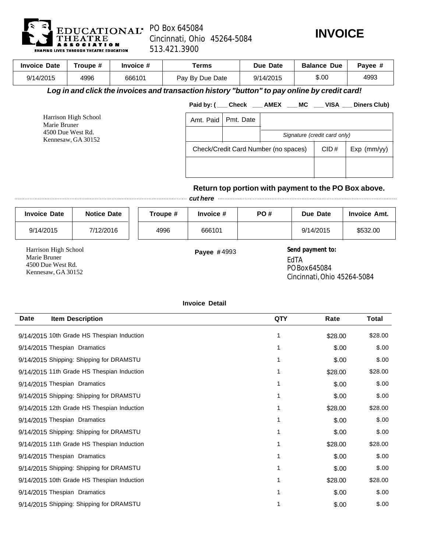

## PO Box 645084 Cincinnati, Ohio 45264-5084 513.421.3900



| <b>Invoice Date</b>                                                             | Troupe # | Invoice #                                                                                    | <b>Terms</b>    |           |      |             | Due Date  |                              | <b>Balance Due</b> | Payee #                                              |
|---------------------------------------------------------------------------------|----------|----------------------------------------------------------------------------------------------|-----------------|-----------|------|-------------|-----------|------------------------------|--------------------|------------------------------------------------------|
| 9/14/2015                                                                       | 4996     | 666101                                                                                       | Pay By Due Date |           |      |             | 9/14/2015 |                              | \$.00              | 4993                                                 |
|                                                                                 |          | Log in and click the invoices and transaction history "button" to pay online by credit card! |                 |           |      |             |           |                              |                    |                                                      |
|                                                                                 |          |                                                                                              |                 |           |      |             |           |                              |                    | Paid by: (Check AMEX MC VISA Diners Club)            |
| Harrison High School<br>Marie Bruner<br>4500 Due West Rd.<br>Kennesaw, GA 30152 |          |                                                                                              | Amt. Paid       | Pmt. Date |      |             |           |                              |                    |                                                      |
|                                                                                 |          |                                                                                              |                 |           |      |             |           | Signature (credit card only) |                    |                                                      |
|                                                                                 |          | Check/Credit Card Number (no spaces)                                                         |                 |           | CID# | Exp (mm/yy) |           |                              |                    |                                                      |
|                                                                                 |          |                                                                                              |                 |           |      |             |           |                              |                    |                                                      |
|                                                                                 |          |                                                                                              |                 |           |      |             |           |                              |                    |                                                      |
|                                                                                 |          |                                                                                              |                 |           |      |             |           |                              |                    | Return top portion with payment to the PO Box above. |
|                                                                                 |          |                                                                                              |                 | cut here  |      |             |           |                              |                    |                                                      |

| <b>Invoice Date</b>                                                             | <b>Notice Date</b> | Troupe # | Invoice #          | PO# | Due Date                                                                                                                | <b>Invoice Amt.</b> |
|---------------------------------------------------------------------------------|--------------------|----------|--------------------|-----|-------------------------------------------------------------------------------------------------------------------------|---------------------|
| 9/14/2015                                                                       | 7/12/2016          | 4996     | 666101             |     | 9/14/2015                                                                                                               | \$532.00            |
| Harrison High School<br>Marie Bruner<br>4500 Due West Rd.<br>Kennesaw, GA 30152 |                    |          | <b>Payee #4993</b> |     | Send payment to:<br>EdTA<br>PO Box 645084<br>$\Omega$ , $\Omega$ , $\Omega$ , $\Omega$ , $\Omega$ , $\Omega$ , $\Omega$ |                     |

Cincinnati, Ohio 45264-5084

## **Invoice Detail**

| <b>Date</b> | <b>Item Description</b>                    | QTY | Rate    | Total   |
|-------------|--------------------------------------------|-----|---------|---------|
|             | 9/14/2015 10th Grade HS Thespian Induction | 1   | \$28.00 | \$28.00 |
|             | 9/14/2015 Thespian Dramatics               | 1   | \$.00   | \$.00   |
|             | 9/14/2015 Shipping: Shipping for DRAMSTU   |     | \$.00   | \$.00   |
|             | 9/14/2015 11th Grade HS Thespian Induction |     | \$28.00 | \$28.00 |
|             | 9/14/2015 Thespian Dramatics               |     | \$.00   | \$.00   |
|             | 9/14/2015 Shipping: Shipping for DRAMSTU   | 1   | \$.00   | \$.00   |
|             | 9/14/2015 12th Grade HS Thespian Induction |     | \$28.00 | \$28.00 |
|             | 9/14/2015 Thespian Dramatics               |     | \$.00   | \$.00   |
|             | 9/14/2015 Shipping: Shipping for DRAMSTU   |     | \$.00   | \$.00   |
|             | 9/14/2015 11th Grade HS Thespian Induction |     | \$28.00 | \$28.00 |
|             | 9/14/2015 Thespian Dramatics               |     | \$.00   | \$.00   |
|             | 9/14/2015 Shipping: Shipping for DRAMSTU   |     | \$.00   | \$.00   |
|             | 9/14/2015 10th Grade HS Thespian Induction |     | \$28.00 | \$28.00 |
|             | 9/14/2015 Thespian Dramatics               |     | \$.00   | \$.00   |
|             | 9/14/2015 Shipping: Shipping for DRAMSTU   |     | \$.00   | \$.00   |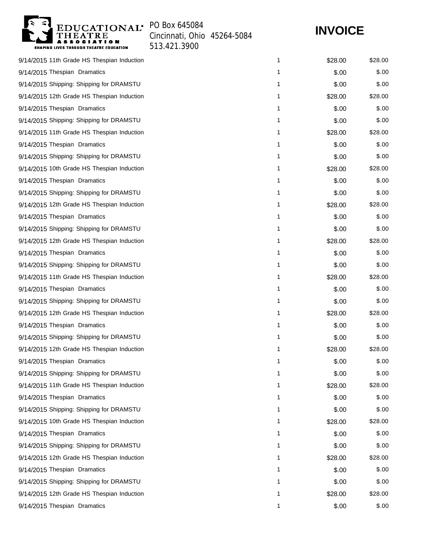

Cincinnati, Ohio 45264-5084 513.421.3900

## **INVOICE**

| 9/14/2015 11th Grade HS Thespian Induction | 1 | \$28.00 | \$28.00 |
|--------------------------------------------|---|---------|---------|
| 9/14/2015 Thespian Dramatics               | 1 | \$.00   | \$.00   |
| 9/14/2015 Shipping: Shipping for DRAMSTU   | 1 | \$.00   | \$.00   |
| 9/14/2015 12th Grade HS Thespian Induction | 1 | \$28.00 | \$28.00 |
| 9/14/2015 Thespian Dramatics               | 1 | \$.00   | \$.00   |
| 9/14/2015 Shipping: Shipping for DRAMSTU   | 1 | \$.00   | \$.00   |
| 9/14/2015 11th Grade HS Thespian Induction | 1 | \$28.00 | \$28.00 |
| 9/14/2015 Thespian Dramatics               | 1 | \$.00   | \$.00   |
| 9/14/2015 Shipping: Shipping for DRAMSTU   | 1 | \$.00   | \$.00   |
| 9/14/2015 10th Grade HS Thespian Induction | 1 | \$28.00 | \$28.00 |
| 9/14/2015 Thespian Dramatics               | 1 | \$.00   | \$.00   |
| 9/14/2015 Shipping: Shipping for DRAMSTU   | 1 | \$.00   | \$.00   |
| 9/14/2015 12th Grade HS Thespian Induction | 1 | \$28.00 | \$28.00 |
| 9/14/2015 Thespian Dramatics               | 1 | \$.00   | \$.00   |
| 9/14/2015 Shipping: Shipping for DRAMSTU   | 1 | \$.00   | \$.00   |
| 9/14/2015 12th Grade HS Thespian Induction | 1 | \$28.00 | \$28.00 |
| 9/14/2015 Thespian Dramatics               | 1 | \$.00   | \$.00   |
| 9/14/2015 Shipping: Shipping for DRAMSTU   | 1 | \$.00   | \$.00   |
| 9/14/2015 11th Grade HS Thespian Induction | 1 | \$28.00 | \$28.00 |
| 9/14/2015 Thespian Dramatics               | 1 | \$.00   | \$.00   |
| 9/14/2015 Shipping: Shipping for DRAMSTU   | 1 | \$.00   | \$.00   |
| 9/14/2015 12th Grade HS Thespian Induction | 1 | \$28.00 | \$28.00 |
| 9/14/2015 Thespian Dramatics               | 1 | \$.00   | \$.00   |
| 9/14/2015 Shipping: Shipping for DRAMSTU   | 1 | \$.00   | \$.00   |
| 9/14/2015 12th Grade HS Thespian Induction | 1 | \$28.00 | \$28.00 |
| 9/14/2015 Thespian Dramatics               | 1 | \$.00   | \$.00   |
| 9/14/2015 Shipping: Shipping for DRAMSTU   | 1 | \$.00   | \$.00   |
| 9/14/2015 11th Grade HS Thespian Induction | 1 | \$28.00 | \$28.00 |
| 9/14/2015 Thespian Dramatics               | 1 | \$.00   | \$.00   |
| 9/14/2015 Shipping: Shipping for DRAMSTU   | 1 | \$.00   | \$.00   |
| 9/14/2015 10th Grade HS Thespian Induction | 1 | \$28.00 | \$28.00 |
| 9/14/2015 Thespian Dramatics               | 1 | \$.00   | \$.00   |
| 9/14/2015 Shipping: Shipping for DRAMSTU   | 1 | \$.00   | \$.00   |
| 9/14/2015 12th Grade HS Thespian Induction | 1 | \$28.00 | \$28.00 |
| 9/14/2015 Thespian Dramatics               | 1 | \$.00   | \$.00   |
| 9/14/2015 Shipping: Shipping for DRAMSTU   | 1 | \$.00   | \$.00   |
| 9/14/2015 12th Grade HS Thespian Induction | 1 | \$28.00 | \$28.00 |
| 9/14/2015 Thespian Dramatics               | 1 | \$.00   | \$.00   |